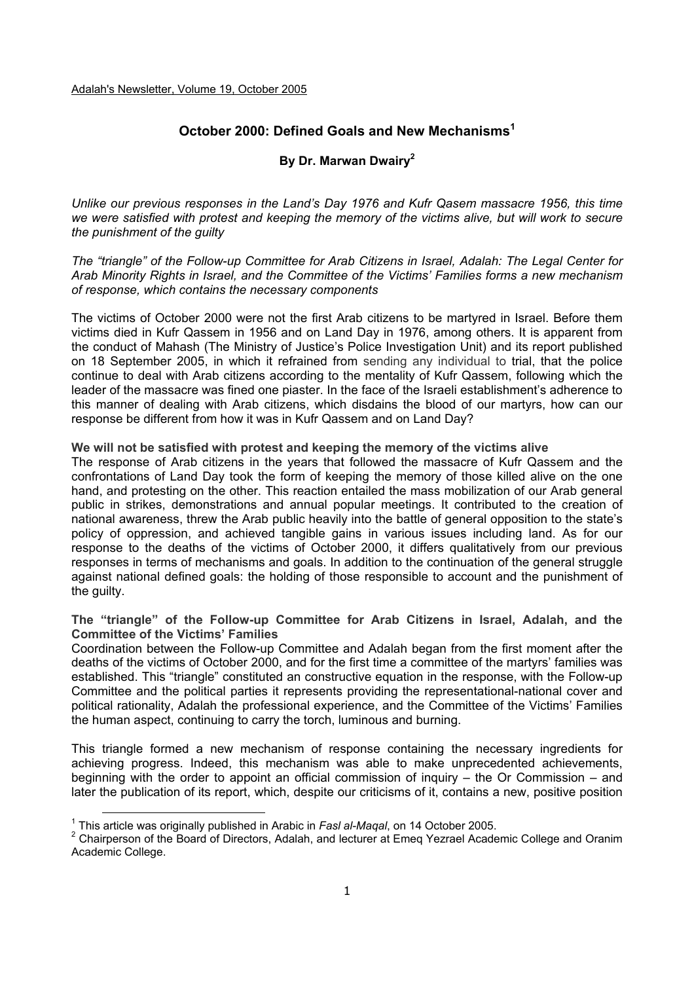# **October 2000: Defined Goals and New Mechanisms<sup>1</sup>**

## **By Dr. Marwan Dwairy2**

*Unlike our previous responses in the Land's Day 1976 and Kufr Qasem massacre 1956, this time we were satisfied with protest and keeping the memory of the victims alive, but will work to secure the punishment of the guilty* 

*The "triangle" of the Follow-up Committee for Arab Citizens in Israel, Adalah: The Legal Center for Arab Minority Rights in Israel, and the Committee of the Victims' Families forms a new mechanism of response, which contains the necessary components* 

The victims of October 2000 were not the first Arab citizens to be martyred in Israel. Before them victims died in Kufr Qassem in 1956 and on Land Day in 1976, among others. It is apparent from the conduct of Mahash (The Ministry of Justice's Police Investigation Unit) and its report published on 18 September 2005, in which it refrained from sending any individual to trial, that the police continue to deal with Arab citizens according to the mentality of Kufr Qassem, following which the leader of the massacre was fined one piaster. In the face of the Israeli establishment's adherence to this manner of dealing with Arab citizens, which disdains the blood of our martyrs, how can our response be different from how it was in Kufr Qassem and on Land Day?

**We will not be satisfied with protest and keeping the memory of the victims alive** 

The response of Arab citizens in the years that followed the massacre of Kufr Qassem and the confrontations of Land Day took the form of keeping the memory of those killed alive on the one hand, and protesting on the other. This reaction entailed the mass mobilization of our Arab general public in strikes, demonstrations and annual popular meetings. It contributed to the creation of national awareness, threw the Arab public heavily into the battle of general opposition to the state's policy of oppression, and achieved tangible gains in various issues including land. As for our response to the deaths of the victims of October 2000, it differs qualitatively from our previous responses in terms of mechanisms and goals. In addition to the continuation of the general struggle against national defined goals: the holding of those responsible to account and the punishment of the guilty.

**The "triangle" of the Follow-up Committee for Arab Citizens in Israel, Adalah, and the Committee of the Victims' Families** 

Coordination between the Follow-up Committee and Adalah began from the first moment after the deaths of the victims of October 2000, and for the first time a committee of the martyrs' families was established. This "triangle" constituted an constructive equation in the response, with the Follow-up Committee and the political parties it represents providing the representational-national cover and political rationality, Adalah the professional experience, and the Committee of the Victims' Families the human aspect, continuing to carry the torch, luminous and burning.

This triangle formed a new mechanism of response containing the necessary ingredients for achieving progress. Indeed, this mechanism was able to make unprecedented achievements, beginning with the order to appoint an official commission of inquiry – the Or Commission – and later the publication of its report, which, despite our criticisms of it, contains a new, positive position

<sup>1</sup> This article was originally published in Arabic in *Fasl al-Maqal*, on 14 October 2005.

<sup>&</sup>lt;sup>2</sup> Chairperson of the Board of Directors, Adalah, and lecturer at Emeq Yezrael Academic College and Oranim Academic College.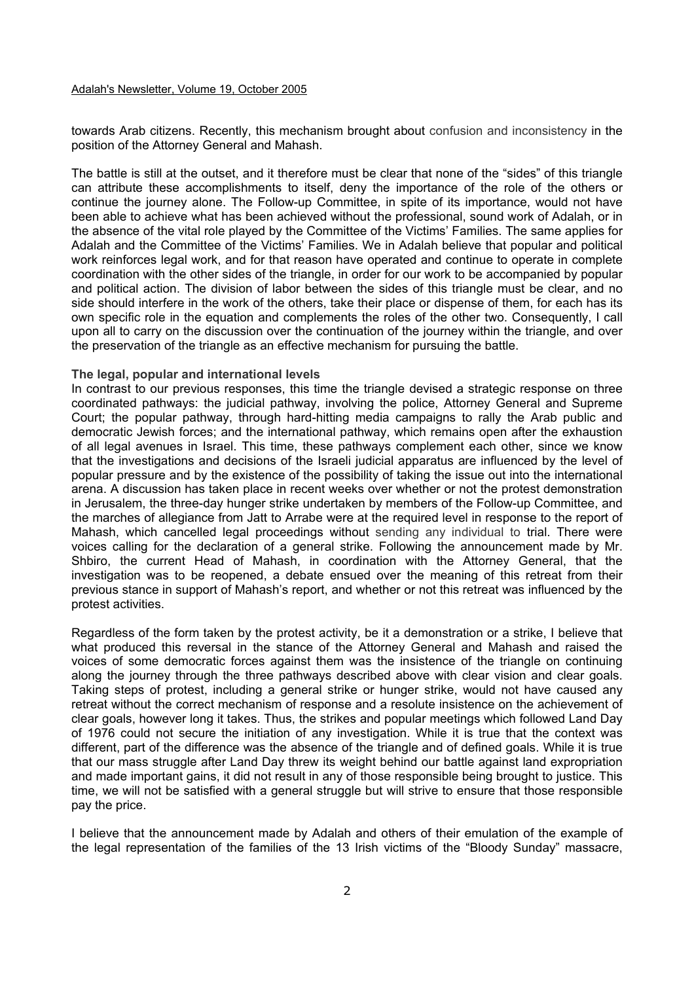#### Adalah's Newsletter, Volume 19, October 2005

towards Arab citizens. Recently, this mechanism brought about confusion and inconsistency in the position of the Attorney General and Mahash.

The battle is still at the outset, and it therefore must be clear that none of the "sides" of this triangle can attribute these accomplishments to itself, deny the importance of the role of the others or continue the journey alone. The Follow-up Committee, in spite of its importance, would not have been able to achieve what has been achieved without the professional, sound work of Adalah, or in the absence of the vital role played by the Committee of the Victims' Families. The same applies for Adalah and the Committee of the Victims' Families. We in Adalah believe that popular and political work reinforces legal work, and for that reason have operated and continue to operate in complete coordination with the other sides of the triangle, in order for our work to be accompanied by popular and political action. The division of labor between the sides of this triangle must be clear, and no side should interfere in the work of the others, take their place or dispense of them, for each has its own specific role in the equation and complements the roles of the other two. Consequently, I call upon all to carry on the discussion over the continuation of the journey within the triangle, and over the preservation of the triangle as an effective mechanism for pursuing the battle.

#### **The legal, popular and international levels**

In contrast to our previous responses, this time the triangle devised a strategic response on three coordinated pathways: the judicial pathway, involving the police, Attorney General and Supreme Court; the popular pathway, through hard-hitting media campaigns to rally the Arab public and democratic Jewish forces; and the international pathway, which remains open after the exhaustion of all legal avenues in Israel. This time, these pathways complement each other, since we know that the investigations and decisions of the Israeli judicial apparatus are influenced by the level of popular pressure and by the existence of the possibility of taking the issue out into the international arena. A discussion has taken place in recent weeks over whether or not the protest demonstration in Jerusalem, the three-day hunger strike undertaken by members of the Follow-up Committee, and the marches of allegiance from Jatt to Arrabe were at the required level in response to the report of Mahash, which cancelled legal proceedings without sending any individual to trial. There were voices calling for the declaration of a general strike. Following the announcement made by Mr. Shbiro, the current Head of Mahash, in coordination with the Attorney General, that the investigation was to be reopened, a debate ensued over the meaning of this retreat from their previous stance in support of Mahash's report, and whether or not this retreat was influenced by the protest activities.

Regardless of the form taken by the protest activity, be it a demonstration or a strike, I believe that what produced this reversal in the stance of the Attorney General and Mahash and raised the voices of some democratic forces against them was the insistence of the triangle on continuing along the journey through the three pathways described above with clear vision and clear goals. Taking steps of protest, including a general strike or hunger strike, would not have caused any retreat without the correct mechanism of response and a resolute insistence on the achievement of clear goals, however long it takes. Thus, the strikes and popular meetings which followed Land Day of 1976 could not secure the initiation of any investigation. While it is true that the context was different, part of the difference was the absence of the triangle and of defined goals. While it is true that our mass struggle after Land Day threw its weight behind our battle against land expropriation and made important gains, it did not result in any of those responsible being brought to justice. This time, we will not be satisfied with a general struggle but will strive to ensure that those responsible pay the price.

I believe that the announcement made by Adalah and others of their emulation of the example of the legal representation of the families of the 13 Irish victims of the "Bloody Sunday" massacre,